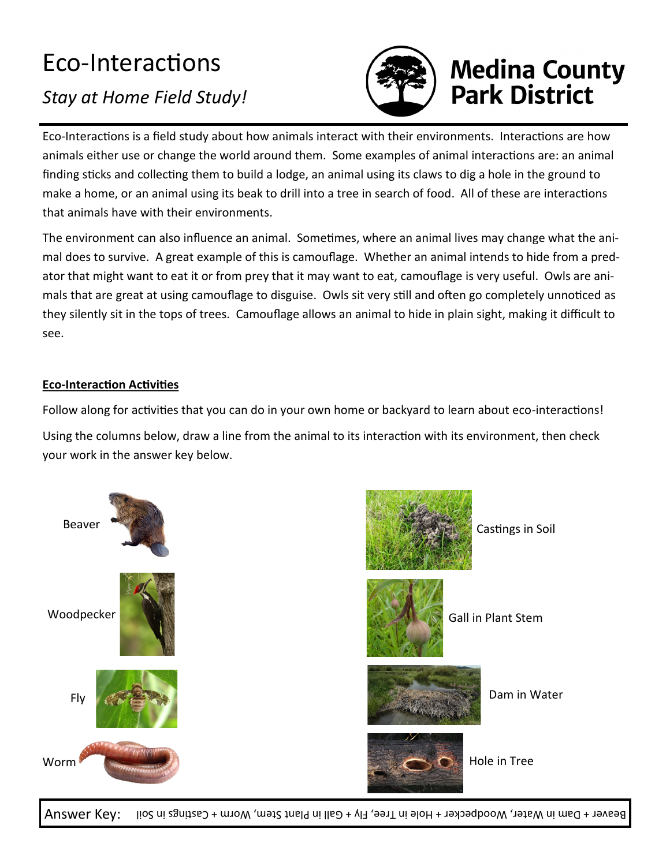## Eco-Interactions

## *Stay at Home Field Study!*



## **Medina County<br>Park District**

Eco-Interactions is a field study about how animals interact with their environments. Interactions are how animals either use or change the world around them. Some examples of animal interactions are: an animal finding sticks and collecting them to build a lodge, an animal using its claws to dig a hole in the ground to make a home, or an animal using its beak to drill into a tree in search of food. All of these are interactions that animals have with their environments.

The environment can also influence an animal. Sometimes, where an animal lives may change what the animal does to survive. A great example of this is camouflage. Whether an animal intends to hide from a predator that might want to eat it or from prey that it may want to eat, camouflage is very useful. Owls are animals that are great at using camouflage to disguise. Owls sit very still and often go completely unnoticed as they silently sit in the tops of trees. Camouflage allows an animal to hide in plain sight, making it difficult to see.

## **Eco-Interaction Activities**

Follow along for activities that you can do in your own home or backyard to learn about eco-interactions!

Using the columns below, draw a line from the animal to its interaction with its environment, then check your work in the answer key below.





Castings in Soil



Gall in Plant Stem



Dam in Water



Hole in Tree

Answer Key: Beaver + Dam in Water, Woodpecker + Hole in Tree, Fly + Gall in Plant Stem, Worm + Castings in Soil